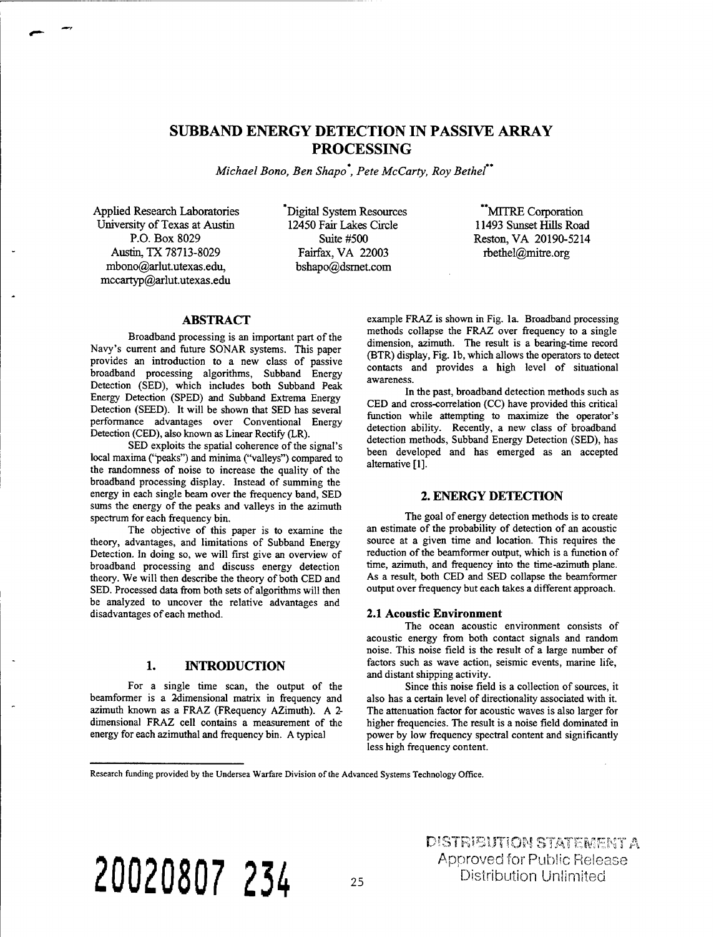# SUBBAND ENERGY DETECTION IN PASSIVE ARRAY PROCESSING

*Michael Bono, Ben Shapo , Pete McCarty, Roy Bethel*

Applied Research Laboratories University of Texas at Austin P.O. Box 8029 Austin, TX 78713-8029 mbono@arlut.utexas.edu, mccartyp@arlut.utexas.edu

Digital System Resources 12450 Fair Lakes Circle Suite #500 Fairfax, VA 22003 bshapo@dsrnet.com

MITRE Corporation 11493 Sunset Hills Road Resten, VA 20190-5214 rbethel@mitre.org

# **ABSTRACT**

Broadband processing is an important part of the Navy's current and future SONAR systems. This paper provides an introduction to a new class of passive broadband processing algorithms, Subband Energy Detection (SED), which includes both Subband Peak Energy Detection (SPED) and Subband Extrema Energy Detection (SEED). It will be shown that SED has several performance advantages over Conventional Energy Detection (CED), also known as Linear Rectify (LR).

SED exploits the spatial coherence of the signal's local maxima ("peaks") and minima ("valleys") compared to the randomness of noise to increase the quality of the broadband processing display. Instead of summing the energy in each single beam over the frequency band, SED sums the energy of the peaks and valleys in the azimuth spectrum for each frequency bin.

The objective of this paper is to examine the theory, advantages, and limitations of Subband Energy Detection. In doing so, we will first give an overview of broadband processing and discuss energy detection theory. We will then describe the theory of both CED and SED. Processed data from both sets of algorithms will then be analyzed to uncover the relative advantages and disadvantages of each method.

# 1. INTRODUCTION

For a single time scan, the output of the beamformer is a 2dimensional matrix in frequency and azimuth known as a FRAZ (FRequency AZimuth). A 2 dimensional FRAZ cell contains a measurement of the energy for each azimuthal and frequency bin. A typical

example FRAZ is shown in Fig. la. Broadband processing methods collapse the FRAZ over frequency to a single dimension, azimuth. The result is a bearing-time record (BTR) display, Fig. lb, which allows the operators to detect contacts and provides a high level of situational awareness.

In the past, broadband detection methods such as CED and cross-correlation (CC) have provided this critical function while attempting to maximize the operator's detection ability. Recently, a new class of broadband detection methods, Subband Energy Detection (SED), has been developed and has emerged as an accepted alternative [1].

# 2. ENERGY DETECTION

The goal of energy detection methods is to create an estimate of the probability of detection of an acoustic source at a given time and location. This requires the reduction of the beamformer output, which is a function of time, azimuth, and frequency into the time-azimuth plane. As a result, both CED and SED collapse the beamformer output over frequency but each takes a different approach.

#### **2.1 Acoustic Environment**

The ocean acoustic environment consists of acoustic energy from both contact signals and random noise. This noise field is the result of a large number of factors such as wave action, seismic events, marine life, and distant shipping activity.

Since this noise field is a collection of sources, it also has a certain level of directionality associated with it. The attenuation factor for acoustic waves is also larger for higher frequencies. The result is a noise field dominated in power by low frequency spectral content and significantly less high frequency content.

Research funding provided by the Undersea Warfare Division of the Advanced Systems Technology Office.

**20020807 234 <sup>25</sup>**

DISTRIBUTION STATEMENT A Approved for Public Release Distribution Unlimited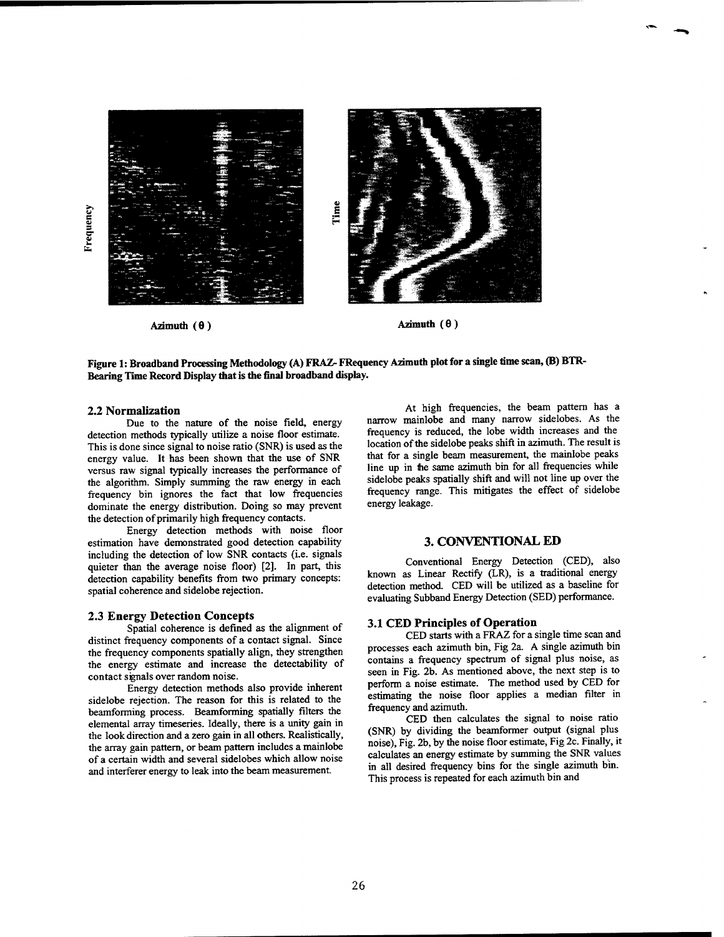

Figure 1: Broadband Processing Methodology (A) FRAZ-FRequency Azimuth plot for a single time scan, (B) BTR-**Bearing Time Record Display that is the final broadband display.**

#### **2.2 Normalization**

Due to the nature of the noise field, energy detection methods typically utilize a noise floor estimate. This is done since signal to noise ratio (SNR) is used as the energy value. It has been shown that the use of SNR versus raw signal typically increases the performance of the algorithm. Simply summing the raw energy in each frequency bin ignores the fact that low frequencies dominate the energy distribution. Doing so may prevent the detection of primarily high frequency contacts.

Energy detection methods with noise floor estimation have demonstrated good detection capability including the detection of low SNR contacts (i.e. signals quieter than the average noise floor) [2]. In part, this detection capability benefits from two primary concepts: spatial coherence and sidelobe rejection.

#### **2.3 Energy Detection Concepts**

Spatial coherence is defined as the alignment of distinct frequency components of a contact signal. Since the frequency components spatially align, they strengthen the energy estimate and increase the detectability of contact signals over random noise.

Energy detection methods also provide inherent sidelobe rejection. The reason for this is related to the beamforming process. Beamforming spatially filters the elemental array timeseries. Ideally, there is a unity gain in the look direction and a zero gain in all others. Realistically, the array gain pattern, or beam pattern includes a mainlobe of a certain width and several sidelobes which allow noise and interferer energy to leak into the beam measurement.

At high frequencies, the beam pattern has a narrow mainlobe and many narrow sidelobes. As the frequency is reduced, the lobe width increases and the location of the sidelobe peaks shift in azimuth. The result is that for a single beam measurement, the mainlobe peaks line up in the same azimuth bin for all frequencies while sidelobe peaks spatially shift and will not line up over the frequency range. This mitigates the effect of sidelobe energy leakage.

#### 3. CONVENTIONAL ED

Conventional Energy Detection (CED), also known as Linear Rectify (LR), is a traditional energy detection method. CED will be utilized as a baseline for evaluating Subband Energy Detection (SED) performance.

#### **3.1 CED Principles of Operation**

CED starts with a FRAZ for a single time scan and processes each azimuth bin, Fig 2a. A single azimuth bin contains a frequency spectrum of signal plus noise, as seen in Fig. 2b. As mentioned above, the next step is to perform a noise estimate. The method used by CED for estimating the noise floor applies a median filter in frequency and azimuth.

CED then calculates the signal to noise ratio (SNR) by dividing the beamformer output (signal plus noise), Fig. 2b, by the noise floor estimate, Fig 2c. Finally, it calculates an energy estimate by summing the SNR values in all desired frequency bins for the single azimuth bin. This process is repeated for each azimuth bin and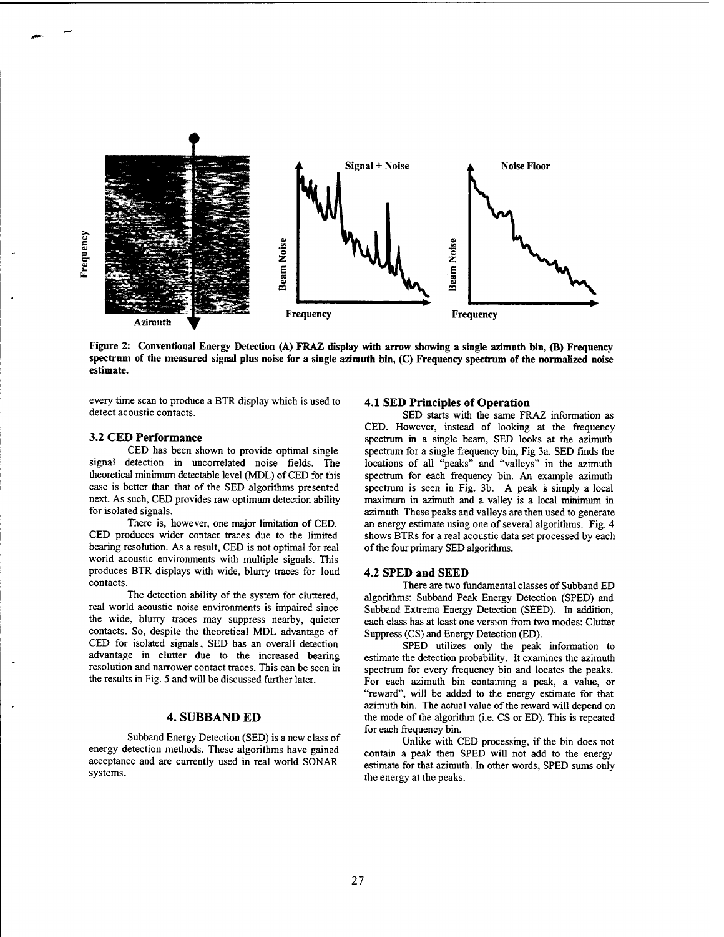

Figure 2: Conventional Energy Detection (A) FRAZ display with arrow showing a single azimuth bin, (B) Frequency spectrum of the measured signal plus noise for a single azimuth bin, (C) Frequency spectrum of the normalized noise **estimate.**

every time scan to produce a BTR display which is used to detect acoustic contacts.

#### **3.2 CED Performance**

CED has been shown to provide optimal single signal detection in uncorrelated noise fields. The theoretical minimum detectable level (MDL) of CED for this case is better than that of the SED algorithms presented next. As such, CED provides raw optimum detection ability for isolated signals.

There is, however, one major limitation of CED. CED produces wider contact traces due to the limited bearing resolution. As a result, CED is not optimal for real world acoustic environments with multiple signals. This produces BTR displays with wide, blurry traces for loud contacts.

The detection ability of the system for cluttered, real world acoustic noise environments is impaired since the wide, blurry traces may suppress nearby, quieter contacts. So, despite the theoretical MDL advantage of CED for isolated signals, SED has an overall detection advantage in clutter due to the increased bearing resolution and narrower contact traces. This can be seen in the results in Fig. 5 and will be discussed further later.

## 4. SUBBAND ED

Subband Energy Detection (SED) is a new class of energy detection methods. These algorithms have gained acceptance and are currently used in real world SONAR systems.

#### **4.1 SED Principles of Operation**

SED starts with the same FRAZ information as CED. However, instead of looking at the frequency spectrum in a single beam, SED looks at the azimuth spectrum for a single frequency bin, Fig 3a. SED finds the locations of all "peaks" and "valleys" in the azimuth spectrum for each frequency bin. An example azimuth spectrum is seen in Fig.  $3b$ . A peak is simply a local maximum in azimuth and a valley is a local minimum in azimuth These peaks and valleys are then used to generate an energy estimate using one of several algorithms. Fig. 4 shows BTRs for a real acoustic data set processed by each of the four primary SED algorithms.

#### **4.2 SPED and SEED**

There are two fundamental classes of Subband ED algorithms: Subband Peak Energy Detection (SPED) and Subband Extrema Energy Detection (SEED). In addition, each class has at least one version from two modes: Clutter Suppress (CS) and Energy Detection (ED).

SPED utilizes only the peak information to estimate the detection probability. It examines the azimuth spectrum for every frequency bin and locates the peaks. For each azimuth bin containing a peak, a value, or "reward", will be added to the energy estimate for that azimuth bin. The actual value of the reward will depend on the mode of the algorithm (i.e. CS or ED). This is repeated for each frequency bin.

Unlike with CED processing, if the bin does not contain a peak then SPED will not add to the energy estimate for that azimuth. In other words, SPED sums only the energy at the peaks.

**27**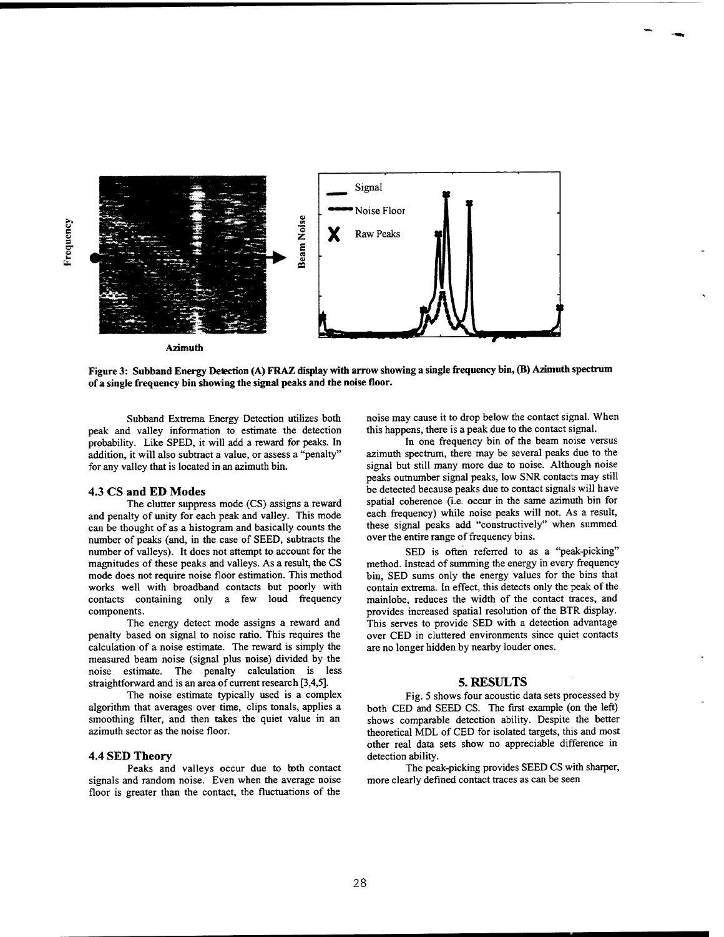

**3** *T*



**Azimuth**

Figure 3: Subband Energy Detection (A) FRAZ display with arrow showing a single frequency bin, (B) Azimuth spectrum **of a single frequency bin showing the signal peaks and the noise floor.**

Subband Extrema Energy Detection utilizes both peak and valley information to estimate the detection probability. Like SPED, it will add a reward for peaks. In addition, it will also subtract a value, or assess a "penalty" for any valley that is located in an azimuth bin.

# **4.3 CS and ED Modes**

The clutter suppress mode (CS) assigns a reward and penalty of unity for each peak and valley. This mode can be thought of as a histogram and basically counts the number of peaks (and, in the case of SEED, subtracts the number of valleys). It does not attempt to account for the magnitudes of these peaks and valleys. As a result, the CS mode does not require noise floor estimation. This method works well with broadband contacts but poorly with contacts containing only a few loud frequency components.

The energy detect mode assigns a reward and penalty based on signal to noise ratio. This requires the calculation of a noise estimate. The reward is simply the measured beam noise (signal plus noise) divided by the noise estimate. The penalty calculation is less straightforward and is an area of current research [3,4,5].

The noise estimate typically used is a complex algorithm that averages over time, clips tonals, applies a smoothing filter, and then takes the quiet value in an azimuth sector as the noise floor.

## **4.4 SED Theory**

Peaks and valleys occur due to both contact signals and random noise. Even when the average noise floor is greater than the contact, the fluctuations of the noise may cause it to drop below the contact signal. When this happens, there is a peak due to the contact signal.

In one frequency bin of the beam noise versus azimuth spectrum, there may be several peaks due to the signal but still many more due to noise. Although noise peaks outnumber signal peaks, low SNR contacts may still be detected because peaks due to contact signals will have spatial coherence (i.e. occur in the same azimuth bin for each frequency) while noise peaks will not. As a result, these signal peaks add "constructively" when summed over the entire range of frequency bins.

SED is often referred to as a "peak-picking" method. Instead of summing the energy in every frequency bin, SED sums only the energy values for the bins that contain extrema. In effect, this detects only the peak of the mainlobe, reduces the width of the contact traces, and provides increased spatial resolution of the BTR display. This serves to provide SED with a detection advantage over CED in cluttered environments since quiet contacts are no longer hidden by nearby louder ones.

#### 5. RESULTS

Fig. 5 shows four acoustic data sets processed by both CED and SEED CS. The first example (on the left) shows comparable detection ability. Despite the better theoretical MDL of CED for isolated targets, this and most other real data sets show no appreciable difference in detection ability.

The peak-picking provides SEED CS with sharper, more clearly defined contact traces as can be seen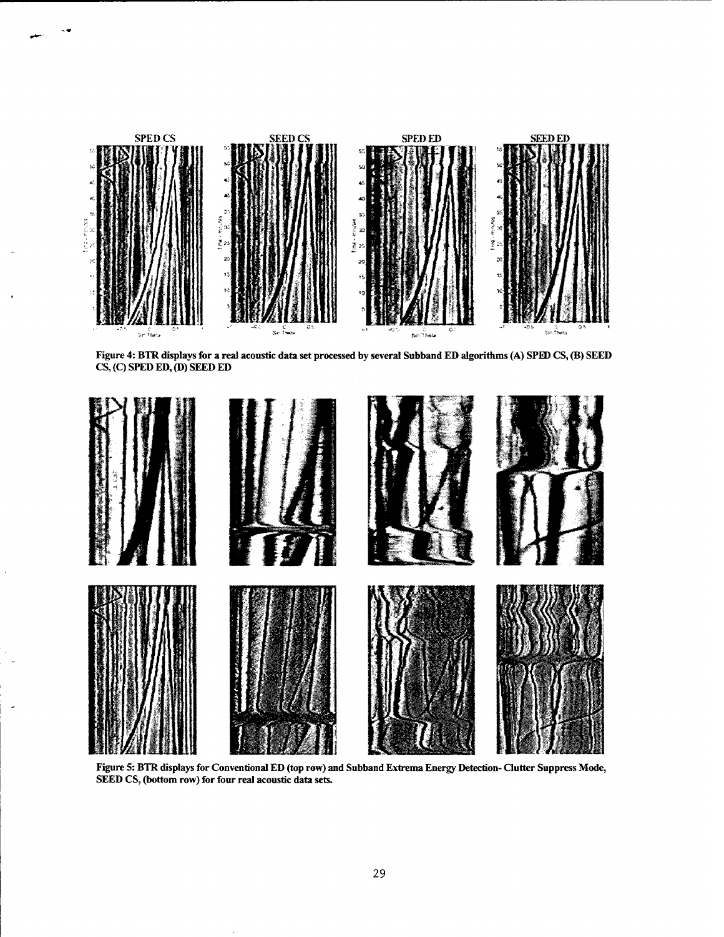





Figure 5: BTR displays for Conventional ED (top row) and Subband Extrema Energy Detection-Clutter Suppress Mode, **SEED CS, (bottom row) for four real acoustic data sets.**

 $\overline{\phantom{a}}$ 

 $\overline{a}$